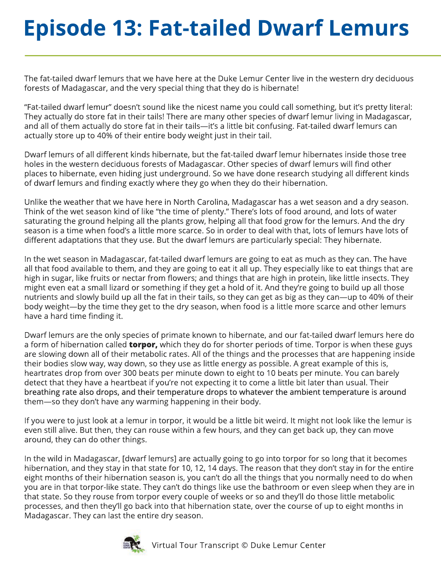## **Episode 13: Fat-tailed Dwarf Lemurs**

The fat-tailed dwarf lemurs that we have here at the Duke Lemur Center live in the western dry deciduous forests of Madagascar, and the very special thing that they do is hibernate!

"Fat-tailed dwarf lemur" doesn't sound like the nicest name you could call something, but it's pretty literal: They actually do store fat in their tails! There are many other species of dwarf lemur living in Madagascar, and all of them actually do store fat in their tails—it's a little bit confusing. Fat-tailed dwarf lemurs can actually store up to 40% of their entire body weight just in their tail.

Dwarf lemurs of all different kinds hibernate, but the fat-tailed dwarf lemur hibernates inside those tree holes in the western deciduous forests of Madagascar. Other species of dwarf lemurs will find other places to hibernate, even hiding just underground. So we have done research studying all different kinds of dwarf lemurs and finding exactly where they go when they do their hibernation.

Unlike the weather that we have here in North Carolina, Madagascar has a wet season and a dry season. Think of the wet season kind of like "the time of plenty." There's lots of food around, and lots of water saturating the ground helping all the plants grow, helping all that food grow for the lemurs. And the dry season is a time when food's a little more scarce. So in order to deal with that, lots of lemurs have lots of different adaptations that they use. But the dwarf lemurs are particularly special: They hibernate.

In the wet season in Madagascar, fat-tailed dwarf lemurs are going to eat as much as they can. The have all that food available to them, and they are going to eat it all up. They especially like to eat things that are high in sugar, like fruits or nectar from flowers; and things that are high in protein, like little insects. They might even eat a small lizard or something if they get a hold of it. And they're going to build up all those nutrients and slowly build up all the fat in their tails, so they can get as big as they can—up to 40% of their body weight—by the time they get to the dry season, when food is a little more scarce and other lemurs have a hard time finding it.

Dwarf lemurs are the only species of primate known to hibernate, and our fat-tailed dwarf lemurs here do a form of hibernation called **torpor,** which they do for shorter periods of time. Torpor is when these guys are slowing down all of their metabolic rates. All of the things and the processes that are happening inside their bodies slow way, way down, so they use as little energy as possible. A great example of this is, heartrates drop from over 300 beats per minute down to eight to 10 beats per minute. You can barely detect that they have a heartbeat if you're not expecting it to come a little bit later than usual. Their breathing rate also drops, and their temperature drops to whatever the ambient temperature is around them—so they don't have any warming happening in their body.

If you were to just look at a lemur in torpor, it would be a little bit weird. It might not look like the lemur is even still alive. But then, they can rouse within a few hours, and they can get back up, they can move around, they can do other things.

In the wild in Madagascar, [dwarf lemurs] are actually going to go into torpor for so long that it becomes hibernation, and they stay in that state for 10, 12, 14 days. The reason that they don't stay in for the entire eight months of their hibernation season is, you can't do all the things that you normally need to do when you are in that torpor-like state. They can't do things like use the bathroom or even sleep when they are in that state. So they rouse from torpor every couple of weeks or so and they'll do those little metabolic processes, and then they'll go back into that hibernation state, over the course of up to eight months in Madagascar. They can last the entire dry season.